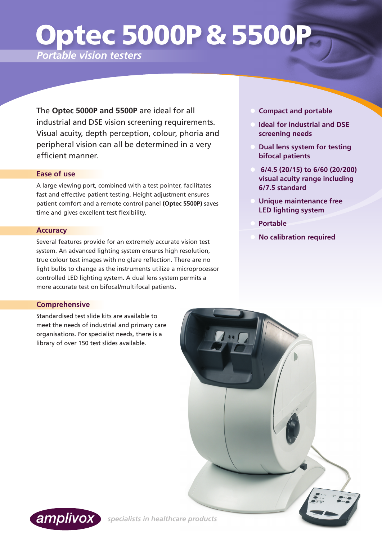# Optec 5000P & 5500P

*Portable vision testers*

The **Optec 5000P and 5500P** are ideal for all industrial and DSE vision screening requirements. Visual acuity, depth perception, colour, phoria and peripheral vision can all be determined in a very efficient manner.

## **Ease of use**

A large viewing port, combined with a test pointer, facilitates fast and effective patient testing. Height adjustment ensures patient comfort and a remote control panel **(Optec 5500P)** saves time and gives excellent test flexibility.

### **Accuracy**

Several features provide for an extremely accurate vision test system. An advanced lighting system ensures high resolution, true colour test images with no glare reflection. There are no light bulbs to change as the instruments utilize a microprocessor controlled LED lighting system. A dual lens system permits a more accurate test on bifocal/multifocal patients.

- **Compact and portable**
- **Ideal for industrial and DSE screening needs**
- **Dual lens system for testing bifocal patients**
- **• 6/4.5 (20/15) to 6/60 (20/200) visual acuity range including 6/7.5 standard**
- **Unique maintenance free LED lighting system**
- **• Portable**
	- **No calibration required**

## **Comprehensive**

Standardised test slide kits are available to meet the needs of industrial and primary care organisations. For specialist needs, there is a library of over 150 test slides available.